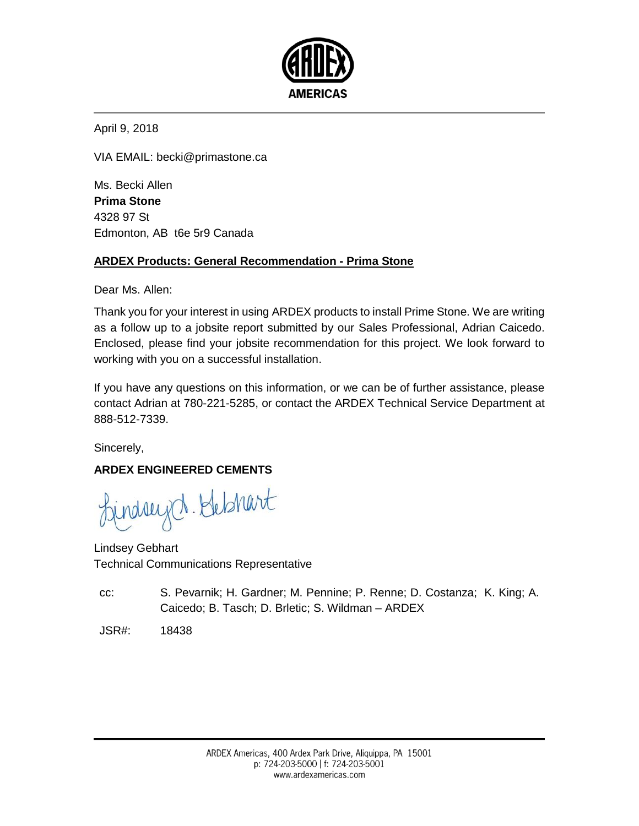

<span id="page-0-0"></span>April 9, 2018

VIA EMAIL: becki@primastone.ca

<span id="page-0-2"></span><span id="page-0-1"></span>[Ms.](#page-0-0) [Becki](#page-0-1) [Allen](#page-0-2) **Prima Stone** 4328 97 St Edmonton, AB t6e 5r9 Canada

## **ARDEX Products: General Recommendation - Prima Stone**

Dear [Ms.](#page-0-0) [Allen:](#page-0-2)

Thank you for your interest in using ARDEX products to install Prime Stone. We are writing as a follow up to a jobsite report submitted by our Sales Professional, Adrian Caicedo. Enclosed, please find your jobsite recommendation for this project. We look forward to working with you on a successful installation.

If you have any questions on this information, or we can be of further assistance, please contact Adrian at 780-221-5285, or contact the ARDEX Technical Service Department at 888-512-7339.

Sincerely,

## **ARDEX ENGINEERED CEMENTS**

ndsuget. Hebhart

Lindsey Gebhart Technical Communications Representative

cc: S. Pevarnik; H. Gardner; M. Pennine; P. Renne; D. Costanza; K. King; A. Caicedo; B. Tasch; D. Brletic; S. Wildman – ARDEX

JSR#: 18438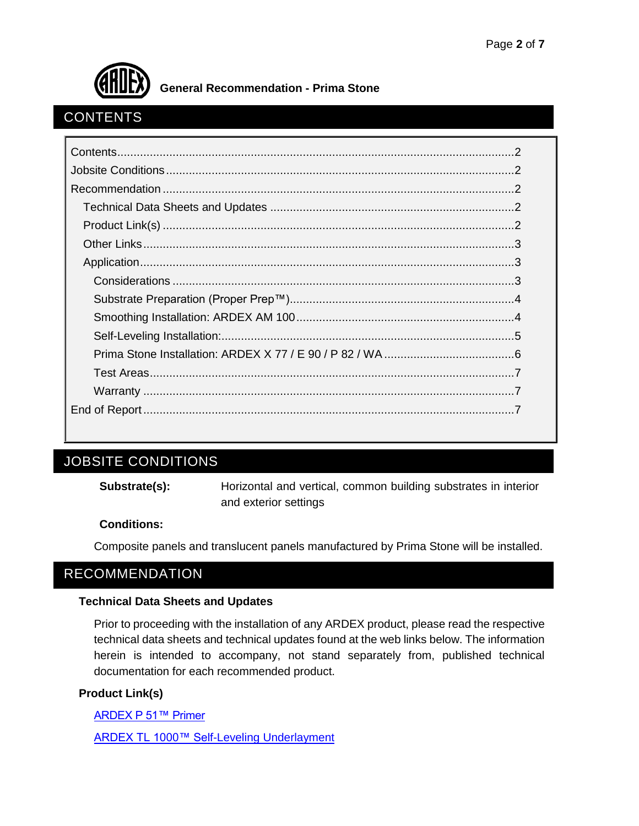

# <span id="page-1-0"></span>**CONTENTS**

# <span id="page-1-1"></span>JOBSITE CONDITIONS

**Substrate(s):** Horizontal and vertical, common building substrates in interior and exterior settings

#### **Conditions:**

Composite panels and translucent panels manufactured by Prima Stone will be installed.

# <span id="page-1-2"></span>RECOMMENDATION

#### <span id="page-1-3"></span>**Technical Data Sheets and Updates**

Prior to proceeding with the installation of any ARDEX product, please read the respective technical data sheets and technical updates found at the web links below. The information herein is intended to accompany, not stand separately from, published technical documentation for each recommended product.

#### <span id="page-1-4"></span>**Product Link(s)**

[ARDEX P 51™ Primer](http://www.ardexamericas.com/en-us/Products/tilestone/Pages/P51.aspx)

[ARDEX TL 1000™ Self-Leveling Underlayment](http://www.ardexamericas.com/en-us/Products/tilestone/Pages/TL1000.aspx)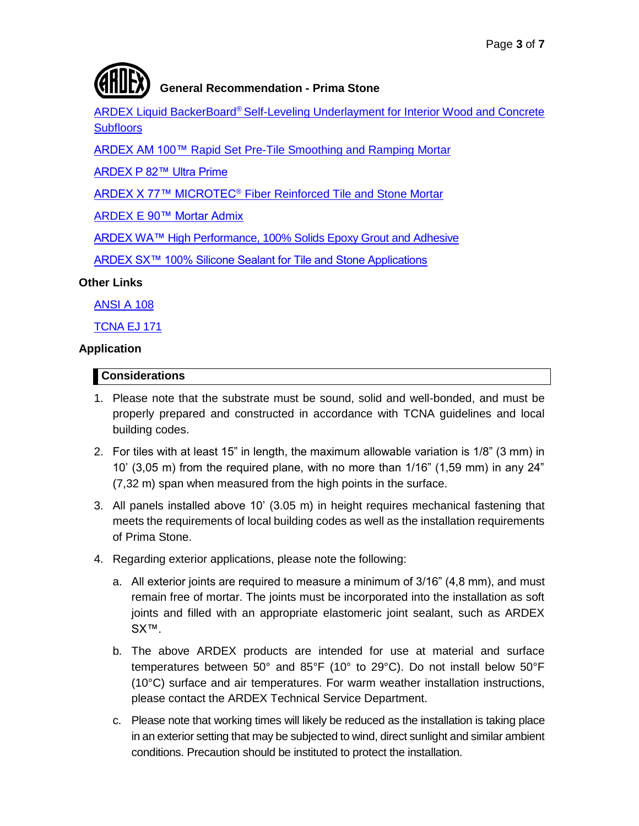

ARDEX Liquid BackerBoard® [Self-Leveling Underlayment for Interior Wood and Concrete](http://www.ardexamericas.com/en-us/Products/tilestone/Pages/LiquidBackerBoard.aspx)  **[Subfloors](http://www.ardexamericas.com/en-us/Products/tilestone/Pages/LiquidBackerBoard.aspx)** 

[ARDEX AM 100™ Rapid Set Pre-Tile Smoothing and Ramping](http://www.ardex.com/productDetail.asp?ContentID=14&ContentParentID=2&ProductCategoryID=0&ProductID=33) Mortar

[ARDEX P 82™ Ultra Prime](http://www.ardexamericas.com/en-us/Products/tilestone/Pages/P82.aspx)

ARDEX X 77™ MICROTEC® [Fiber Reinforced Tile and Stone Mortar](http://www.ardex.com/productDetail.asp?ContentID=14&ContentParentID=2&ProductCategoryID=0&ProductID=237)

ARDEX E [90™ Mortar Admix](http://www.ardexamericas.com/en-us/Products/tilestone/Pages/E-90-Mortar-Admix.aspx)

[ARDEX WA™ High Performance, 100% Solids Epoxy Grout and Adhesive](http://www.ardexamericas.com/en-us/Products/tilestone/Pages/WA.aspx)

[ARDEX SX™ 100% Silicone Sealant for Tile and Stone Applications](http://www.ardexamericas.com/en-us/Products/tilestone/Pages/ARDEX-SX.aspx)

#### <span id="page-2-0"></span>**Other Links**

[ANSI A 108](http://webstore.ansi.org/RecordDetail.aspx?sku=ANSI+A108%2FA118%2FA136.1%3A2013)

**[TCNA EJ 171](https://www.tcnatile.com/faqs/52-ej171.html)** 

#### <span id="page-2-1"></span>**Application**

#### <span id="page-2-2"></span>**Considerations**

- 1. Please note that the substrate must be sound, solid and well-bonded, and must be properly prepared and constructed in accordance with TCNA guidelines and local building codes.
- 2. For tiles with at least 15" in length, the maximum allowable variation is 1/8" (3 mm) in 10' (3,05 m) from the required plane, with no more than 1/16" (1,59 mm) in any 24" (7,32 m) span when measured from the high points in the surface.
- 3. All panels installed above 10' (3.05 m) in height requires mechanical fastening that meets the requirements of local building codes as well as the installation requirements of Prima Stone.
- 4. Regarding exterior applications, please note the following:
	- a. All exterior joints are required to measure a minimum of 3/16" (4,8 mm), and must remain free of mortar. The joints must be incorporated into the installation as soft joints and filled with an appropriate elastomeric joint sealant, such as ARDEX SX<sup>™</sup>.
	- b. The above ARDEX products are intended for use at material and surface temperatures between 50° and 85°F (10° to 29°C). Do not install below 50°F (10°C) surface and air temperatures. For warm weather installation instructions, please contact the ARDEX Technical Service Department.
	- c. Please note that working times will likely be reduced as the installation is taking place in an exterior setting that may be subjected to wind, direct sunlight and similar ambient conditions. Precaution should be instituted to protect the installation.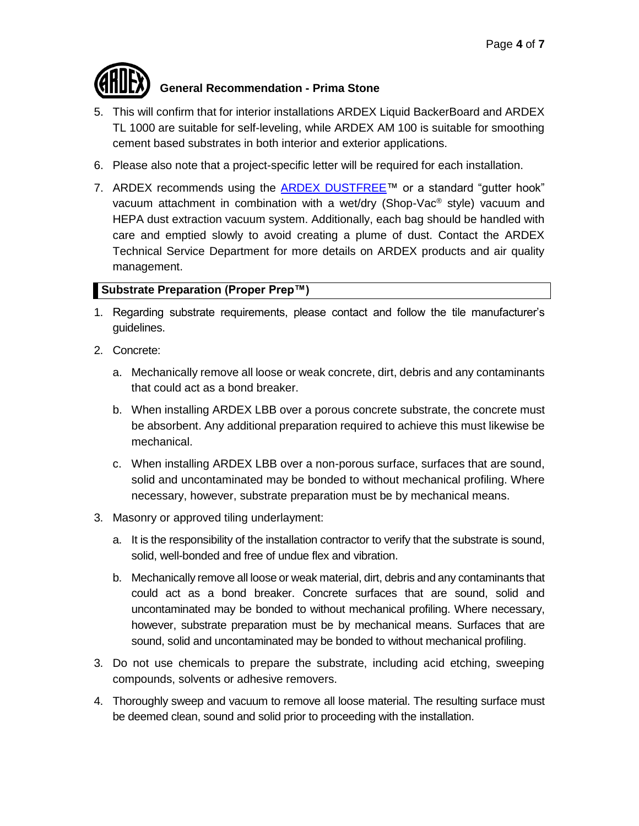

- 5. This will confirm that for interior installations ARDEX Liquid BackerBoard and ARDEX TL 1000 are suitable for self-leveling, while ARDEX AM 100 is suitable for smoothing cement based substrates in both interior and exterior applications.
- 6. Please also note that a project-specific letter will be required for each installation.
- 7. ARDEX recommends using the  $ARDEX$  DUSTFREE<sup>TM</sup> or a standard "gutter hook" vacuum attachment in combination with a wet/dry (Shop-Vac® style) vacuum and HEPA dust extraction vacuum system. Additionally, each bag should be handled with care and emptied slowly to avoid creating a plume of dust. Contact the ARDEX Technical Service Department for more details on ARDEX products and air quality management.

### <span id="page-3-0"></span>**Substrate Preparation (Proper Prep™)**

- 1. Regarding substrate requirements, please contact and follow the tile manufacturer's guidelines.
- 2. Concrete:
	- a. Mechanically remove all loose or weak concrete, dirt, debris and any contaminants that could act as a bond breaker.
	- b. When installing ARDEX LBB over a porous concrete substrate, the concrete must be absorbent. Any additional preparation required to achieve this must likewise be mechanical.
	- c. When installing ARDEX LBB over a non-porous surface, surfaces that are sound, solid and uncontaminated may be bonded to without mechanical profiling. Where necessary, however, substrate preparation must be by mechanical means.
- 3. Masonry or approved tiling underlayment:
	- a. It is the responsibility of the installation contractor to verify that the substrate is sound, solid, well-bonded and free of undue flex and vibration.
	- b. Mechanically remove all loose or weak material, dirt, debris and any contaminants that could act as a bond breaker. Concrete surfaces that are sound, solid and uncontaminated may be bonded to without mechanical profiling. Where necessary, however, substrate preparation must be by mechanical means. Surfaces that are sound, solid and uncontaminated may be bonded to without mechanical profiling.
- 3. Do not use chemicals to prepare the substrate, including acid etching, sweeping compounds, solvents or adhesive removers.
- 4. Thoroughly sweep and vacuum to remove all loose material. The resulting surface must be deemed clean, sound and solid prior to proceeding with the installation.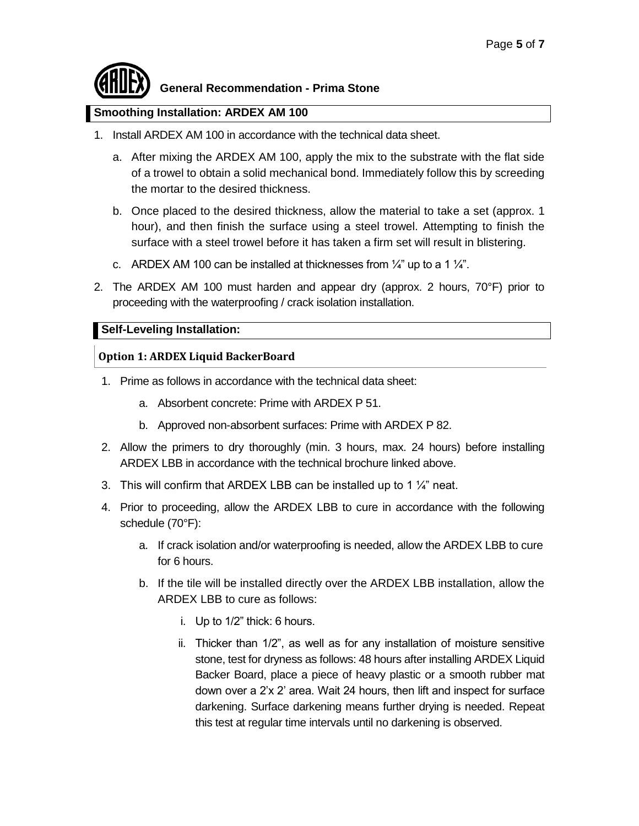#### <span id="page-4-0"></span>**Smoothing Installation: ARDEX AM 100**

- 1. Install ARDEX AM 100 in accordance with the technical data sheet.
	- a. After mixing the ARDEX AM 100, apply the mix to the substrate with the flat side of a trowel to obtain a solid mechanical bond. Immediately follow this by screeding the mortar to the desired thickness.
	- b. Once placed to the desired thickness, allow the material to take a set (approx. 1 hour), and then finish the surface using a steel trowel. Attempting to finish the surface with a steel trowel before it has taken a firm set will result in blistering.
	- c. ARDEX AM 100 can be installed at thicknesses from  $\frac{1}{4}$ " up to a 1  $\frac{1}{4}$ ".
- 2. The ARDEX AM 100 must harden and appear dry (approx. 2 hours, 70°F) prior to proceeding with the waterproofing / crack isolation installation.

#### <span id="page-4-1"></span>**Self-Leveling Installation:**

#### **Option 1: ARDEX Liquid BackerBoard**

- 1. Prime as follows in accordance with the technical data sheet:
	- a. Absorbent concrete: Prime with ARDEX P 51.
	- b. Approved non-absorbent surfaces: Prime with ARDEX P 82.
- 2. Allow the primers to dry thoroughly (min. 3 hours, max. 24 hours) before installing ARDEX LBB in accordance with the technical brochure linked above.
- 3. This will confirm that ARDEX LBB can be installed up to 1  $\frac{1}{4}$  neat.
- 4. Prior to proceeding, allow the ARDEX LBB to cure in accordance with the following schedule (70°F):
	- a. If crack isolation and/or waterproofing is needed, allow the ARDEX LBB to cure for 6 hours.
	- b. If the tile will be installed directly over the ARDEX LBB installation, allow the ARDEX LBB to cure as follows:
		- i. Up to 1/2" thick: 6 hours.
		- ii. Thicker than 1/2", as well as for any installation of moisture sensitive stone, test for dryness as follows: 48 hours after installing ARDEX Liquid Backer Board, place a piece of heavy plastic or a smooth rubber mat down over a 2'x 2' area. Wait 24 hours, then lift and inspect for surface darkening. Surface darkening means further drying is needed. Repeat this test at regular time intervals until no darkening is observed.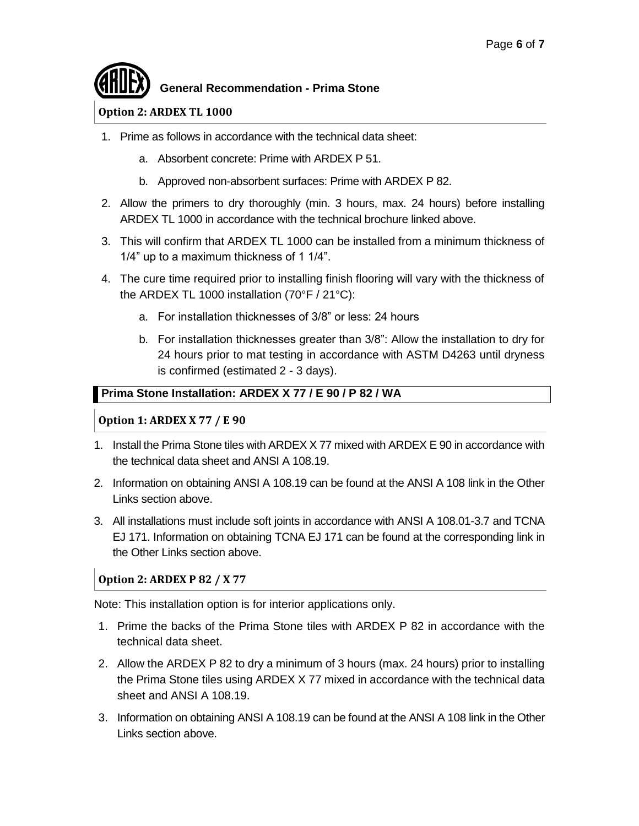#### **Option 2: ARDEX TL 1000**

- 1. Prime as follows in accordance with the technical data sheet:
	- a. Absorbent concrete: Prime with ARDEX P 51.
	- b. Approved non-absorbent surfaces: Prime with ARDEX P 82.
- 2. Allow the primers to dry thoroughly (min. 3 hours, max. 24 hours) before installing ARDEX TL 1000 in accordance with the technical brochure linked above.
- 3. This will confirm that ARDEX TL 1000 can be installed from a minimum thickness of 1/4" up to a maximum thickness of 1 1/4".
- 4. The cure time required prior to installing finish flooring will vary with the thickness of the ARDEX TL 1000 installation (70°F / 21°C):
	- a. For installation thicknesses of 3/8" or less: 24 hours
	- b. For installation thicknesses greater than 3/8": Allow the installation to dry for 24 hours prior to mat testing in accordance with ASTM D4263 until dryness is confirmed (estimated 2 - 3 days).

#### <span id="page-5-0"></span>**Prima Stone Installation: ARDEX X 77 / E 90 / P 82 / WA**

#### **Option 1: ARDEX X 77 / E 90**

- 1. Install the Prima Stone tiles with ARDEX X 77 mixed with ARDEX E 90 in accordance with the technical data sheet and ANSI A 108.19.
- 2. Information on obtaining ANSI A 108.19 can be found at the ANSI A 108 link in the Other Links section above.
- 3. All installations must include soft joints in accordance with ANSI A 108.01-3.7 and TCNA EJ 171. Information on obtaining TCNA EJ 171 can be found at the corresponding link in the Other Links section above.

#### **Option 2: ARDEX P 82 / X 77**

Note: This installation option is for interior applications only.

- 1. Prime the backs of the Prima Stone tiles with ARDEX P 82 in accordance with the technical data sheet.
- 2. Allow the ARDEX P 82 to dry a minimum of 3 hours (max. 24 hours) prior to installing the Prima Stone tiles using ARDEX X 77 mixed in accordance with the technical data sheet and ANSI A 108.19.
- 3. Information on obtaining ANSI A 108.19 can be found at the ANSI A 108 link in the Other Links section above.